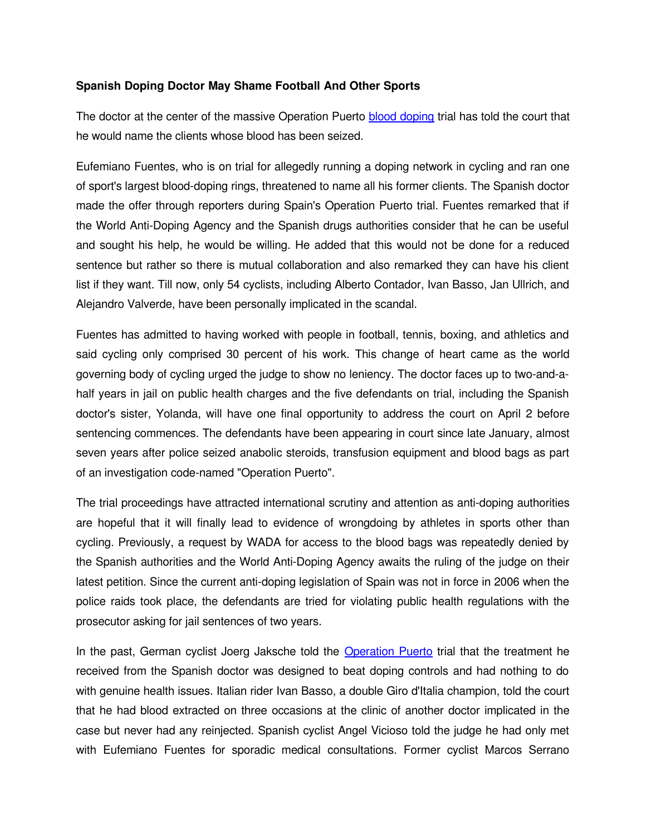## **Spanish Doping Doctor May Shame Football And Other Sports**

The doctor at the center of the massive Operation Puerto **blood doping** trial has told the court that he would name the clients whose blood has been seized.

Eufemiano Fuentes, who is on trial for allegedly running a doping network in cycling and ran one of sport's largest blood-doping rings, threatened to name all his former clients. The Spanish doctor made the offer through reporters during Spain's Operation Puerto trial. Fuentes remarked that if the World Anti-Doping Agency and the Spanish drugs authorities consider that he can be useful and sought his help, he would be willing. He added that this would not be done for a reduced sentence but rather so there is mutual collaboration and also remarked they can have his client list if they want. Till now, only 54 cyclists, including Alberto Contador, Ivan Basso, Jan Ullrich, and Alejandro Valverde, have been personally implicated in the scandal.

Fuentes has admitted to having worked with people in football, tennis, boxing, and athletics and said cycling only comprised 30 percent of his work. This change of heart came as the world governing body of cycling urged the judge to show no leniency. The doctor faces up to two-and-ahalf years in jail on public health charges and the five defendants on trial, including the Spanish doctor's sister, Yolanda, will have one final opportunity to address the court on April 2 before sentencing commences. The defendants have been appearing in court since late January, almost seven years after police seized anabolic steroids, transfusion equipment and blood bags as part of an investigation code-named "Operation Puerto".

The trial proceedings have attracted international scrutiny and attention as anti-doping authorities are hopeful that it will finally lead to evidence of wrongdoing by athletes in sports other than cycling. Previously, a request by WADA for access to the blood bags was repeatedly denied by the Spanish authorities and the World Anti-Doping Agency awaits the ruling of the judge on their latest petition. Since the current anti-doping legislation of Spain was not in force in 2006 when the police raids took place, the defendants are tried for violating public health regulations with the prosecutor asking for jail sentences of two years.

In the past, German cyclist Joerg Jaksche told the [Operation Puerto](http://www.isteroids.com/blog/disgraced-former-us-cyclist-paid-40000-a-year-for-doping/) trial that the treatment he received from the Spanish doctor was designed to beat doping controls and had nothing to do with genuine health issues. Italian rider Ivan Basso, a double Giro d'Italia champion, told the court that he had blood extracted on three occasions at the clinic of another doctor implicated in the case but never had any reinjected. Spanish cyclist Angel Vicioso told the judge he had only met with Eufemiano Fuentes for sporadic medical consultations. Former cyclist Marcos Serrano